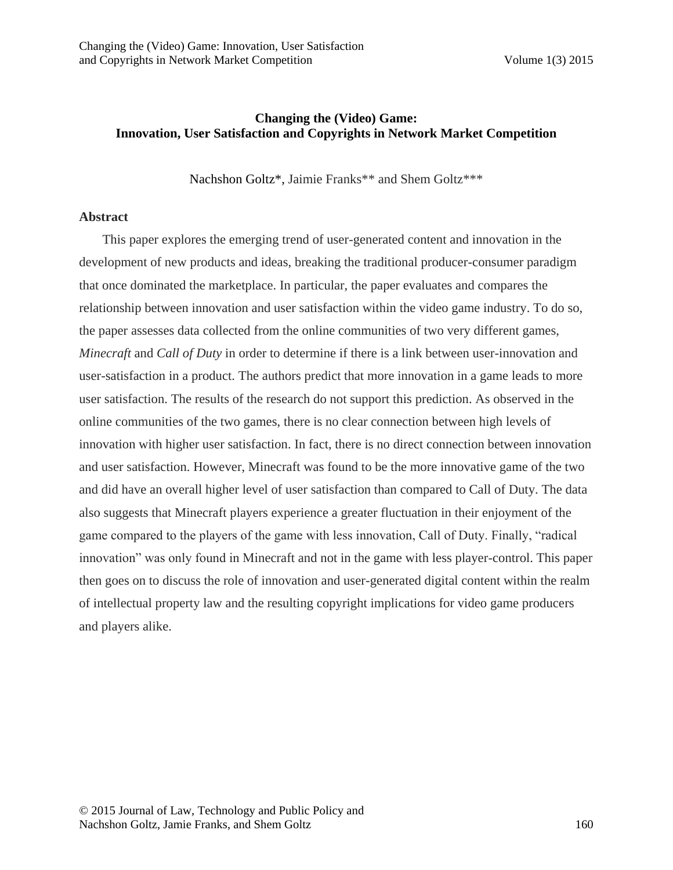## **Changing the (Video) Game: Innovation, User Satisfaction and Copyrights in Network Market Competition**

Nachshon Goltz\*, Jaimie Franks\*\* and Shem Goltz\*\*\*

#### **Abstract**

This paper explores the emerging trend of user-generated content and innovation in the development of new products and ideas, breaking the traditional producer-consumer paradigm that once dominated the marketplace. In particular, the paper evaluates and compares the relationship between innovation and user satisfaction within the video game industry. To do so, the paper assesses data collected from the online communities of two very different games, *Minecraft* and *Call of Duty* in order to determine if there is a link between user-innovation and user-satisfaction in a product. The authors predict that more innovation in a game leads to more user satisfaction. The results of the research do not support this prediction. As observed in the online communities of the two games, there is no clear connection between high levels of innovation with higher user satisfaction. In fact, there is no direct connection between innovation and user satisfaction. However, Minecraft was found to be the more innovative game of the two and did have an overall higher level of user satisfaction than compared to Call of Duty. The data also suggests that Minecraft players experience a greater fluctuation in their enjoyment of the game compared to the players of the game with less innovation, Call of Duty. Finally, "radical innovation" was only found in Minecraft and not in the game with less player-control. This paper then goes on to discuss the role of innovation and user-generated digital content within the realm of intellectual property law and the resulting copyright implications for video game producers and players alike.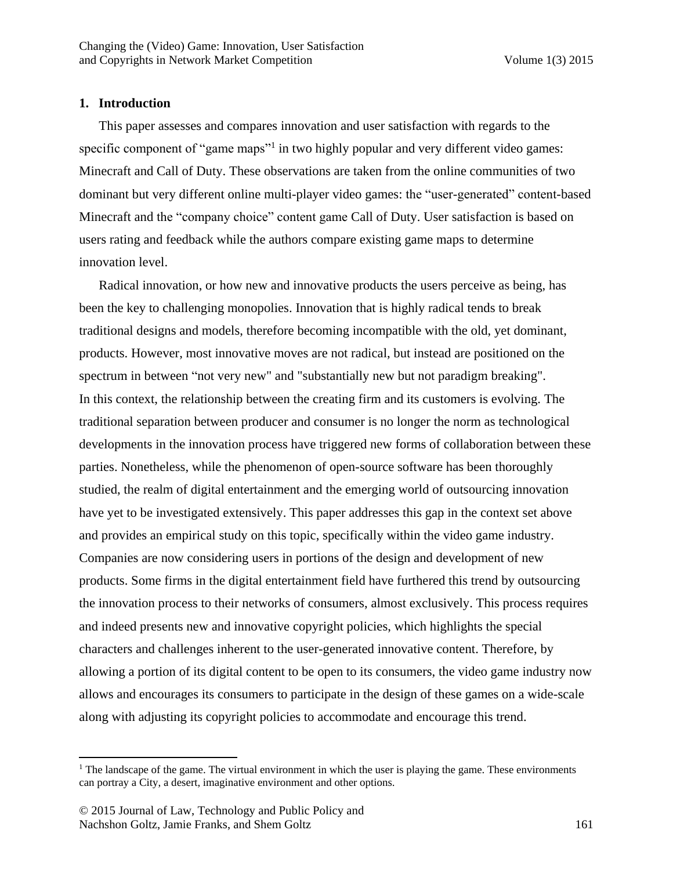#### **1. Introduction**

This paper assesses and compares innovation and user satisfaction with regards to the specific component of "game maps"<sup>1</sup> in two highly popular and very different video games: Minecraft and Call of Duty. These observations are taken from the online communities of two dominant but very different online multi-player video games: the "user-generated" content-based Minecraft and the "company choice" content game Call of Duty. User satisfaction is based on users rating and feedback while the authors compare existing game maps to determine innovation level.

Radical innovation, or how new and innovative products the users perceive as being, has been the key to challenging monopolies. Innovation that is highly radical tends to break traditional designs and models, therefore becoming incompatible with the old, yet dominant, products. However, most innovative moves are not radical, but instead are positioned on the spectrum in between "not very new" and "substantially new but not paradigm breaking". In this context, the relationship between the creating firm and its customers is evolving. The traditional separation between producer and consumer is no longer the norm as technological developments in the innovation process have triggered new forms of collaboration between these parties. Nonetheless, while the phenomenon of open-source software has been thoroughly studied, the realm of digital entertainment and the emerging world of outsourcing innovation have yet to be investigated extensively. This paper addresses this gap in the context set above and provides an empirical study on this topic, specifically within the video game industry. Companies are now considering users in portions of the design and development of new products. Some firms in the digital entertainment field have furthered this trend by outsourcing the innovation process to their networks of consumers, almost exclusively. This process requires and indeed presents new and innovative copyright policies, which highlights the special characters and challenges inherent to the user-generated innovative content. Therefore, by allowing a portion of its digital content to be open to its consumers, the video game industry now allows and encourages its consumers to participate in the design of these games on a wide-scale along with adjusting its copyright policies to accommodate and encourage this trend.

 $<sup>1</sup>$  The landscape of the game. The virtual environment in which the user is playing the game. These environments</sup> can portray a City, a desert, imaginative environment and other options.

<sup>© 2015</sup> Journal of Law, Technology and Public Policy and Nachshon Goltz, Jamie Franks, and Shem Goltz 161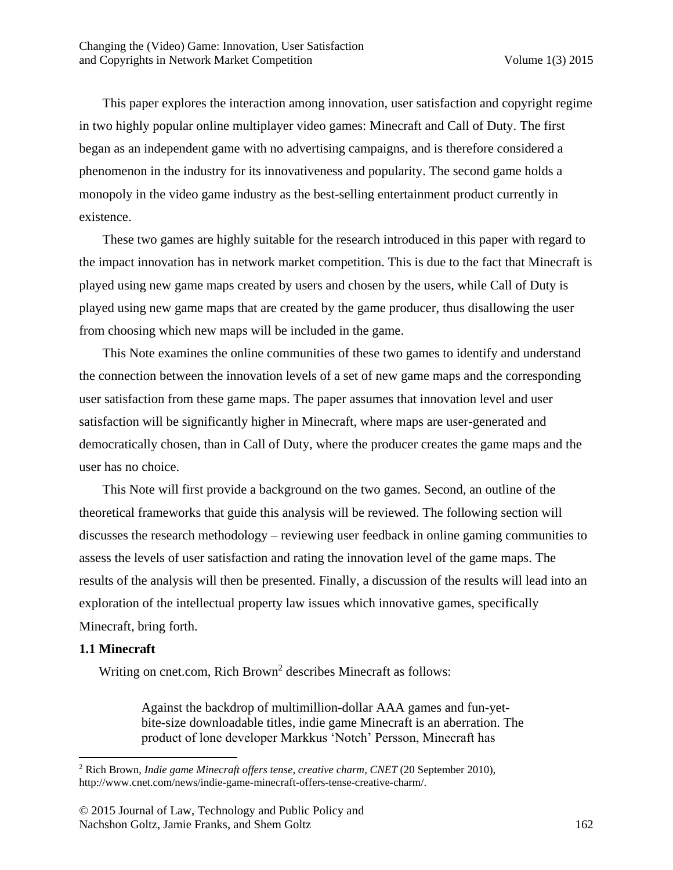This paper explores the interaction among innovation, user satisfaction and copyright regime in two highly popular online multiplayer video games: Minecraft and Call of Duty. The first began as an independent game with no advertising campaigns, and is therefore considered a phenomenon in the industry for its innovativeness and popularity. The second game holds a monopoly in the video game industry as the best-selling entertainment product currently in existence.

These two games are highly suitable for the research introduced in this paper with regard to the impact innovation has in network market competition. This is due to the fact that Minecraft is played using new game maps created by users and chosen by the users, while Call of Duty is played using new game maps that are created by the game producer, thus disallowing the user from choosing which new maps will be included in the game.

This Note examines the online communities of these two games to identify and understand the connection between the innovation levels of a set of new game maps and the corresponding user satisfaction from these game maps. The paper assumes that innovation level and user satisfaction will be significantly higher in Minecraft, where maps are user-generated and democratically chosen, than in Call of Duty, where the producer creates the game maps and the user has no choice.

This Note will first provide a background on the two games. Second, an outline of the theoretical frameworks that guide this analysis will be reviewed. The following section will discusses the research methodology – reviewing user feedback in online gaming communities to assess the levels of user satisfaction and rating the innovation level of the game maps. The results of the analysis will then be presented. Finally, a discussion of the results will lead into an exploration of the intellectual property law issues which innovative games, specifically Minecraft, bring forth.

#### **1.1 Minecraft**

 $\overline{\phantom{a}}$ 

Writing on cnet.com, Rich Brown<sup>2</sup> describes Minecraft as follows:

Against the backdrop of multimillion-dollar AAA games and fun-yetbite-size downloadable titles, indie game Minecraft is an aberration. The product of lone developer Markkus 'Notch' Persson, Minecraft has

<sup>&</sup>lt;sup>2</sup> Rich Brown, *Indie game Minecraft offers tense, creative charm, CNET* (20 September 2010), http://www.cnet.com/news/indie-game-minecraft-offers-tense-creative-charm/.

<sup>© 2015</sup> Journal of Law, Technology and Public Policy and Nachshon Goltz, Jamie Franks, and Shem Goltz 162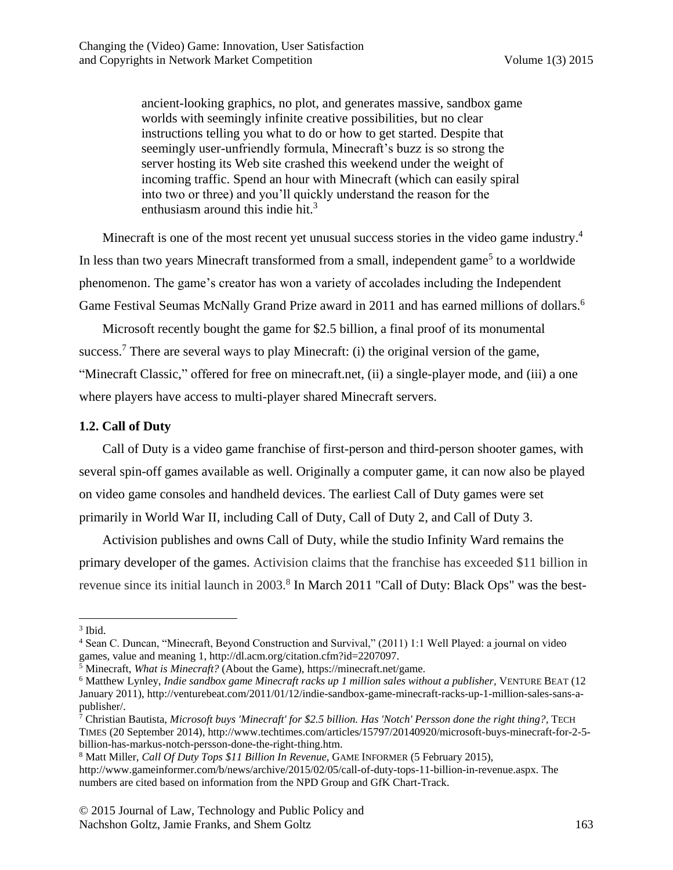ancient-looking graphics, no plot, and generates massive, sandbox game worlds with seemingly infinite creative possibilities, but no clear instructions telling you what to do or how to get started. Despite that seemingly user-unfriendly formula, Minecraft's buzz is so strong the server hosting its Web site crashed this weekend under the weight of incoming traffic. Spend an hour with Minecraft (which can easily spiral into two or three) and you'll quickly understand the reason for the enthusiasm around this indie hit.<sup>3</sup>

Minecraft is one of the most recent yet unusual success stories in the video game industry.<sup>4</sup> In less than two years Minecraft transformed from a small, independent game<sup>5</sup> to a worldwide phenomenon. The game's creator has won a variety of accolades including the Independent Game Festival Seumas McNally Grand Prize award in 2011 and has earned millions of dollars.<sup>6</sup>

Microsoft recently bought the game for \$2.5 billion, a final proof of its monumental success.<sup>7</sup> There are several ways to play Minecraft: (i) the original version of the game, "Minecraft Classic," offered for free on minecraft.net, (ii) a single-player mode, and (iii) a one where players have access to multi-player shared Minecraft servers.

## **1.2. Call of Duty**

Call of Duty is a video game franchise of first-person and third-person shooter games, with several spin-off games available as well. Originally a computer game, it can now also be played on video game consoles and handheld devices. The earliest Call of Duty games were set primarily in [World War II,](http://en.wikipedia.org/wiki/World_War_II) including [Call of Duty,](http://en.wikipedia.org/wiki/Call_of_Duty_(video_game)) [Call of Duty 2,](http://en.wikipedia.org/wiki/Call_of_Duty_2) and [Call of Duty 3.](http://en.wikipedia.org/wiki/Call_of_Duty_3)

Activision publishes and owns Call of Duty, while the studio Infinity Ward remains the primary developer of the games. Activision claims that the franchise has exceeded \$11 billion in revenue since its initial launch in 2003.<sup>8</sup> In March 2011 "Call of Duty: Black Ops" was the best-

 $\overline{\phantom{a}}$ 3 Ibid.

<sup>4</sup> Sean C. Duncan, "Minecraft, Beyond Construction and Survival," (2011) 1:1 Well Played: a journal on video games, value and meaning 1, http://dl.acm.org/citation.cfm?id=2207097.

<sup>5</sup> Minecraft, *What is Minecraft?* (About the Game), https://minecraft.net/game.

<sup>6</sup> Matthew Lynley, *Indie sandbox game Minecraft racks up 1 million sales without a publisher,* VENTURE BEAT (12 January 2011), http://venturebeat.com/2011/01/12/indie-sandbox-game-minecraft-racks-up-1-million-sales-sans-apublisher/.

<sup>7</sup> Christian Bautista, *Microsoft buys 'Minecraft' for \$2.5 billion. Has 'Notch' Persson done the right thing?,* TECH TIMES (20 September 2014), http://www.techtimes.com/articles/15797/20140920/microsoft-buys-minecraft-for-2-5 billion-has-markus-notch-persson-done-the-right-thing.htm.

<sup>8</sup> Matt Miller, *Call Of Duty Tops \$11 Billion In Revenue,* GAME INFORMER (5 February 2015),

http://www.gameinformer.com/b/news/archive/2015/02/05/call-of-duty-tops-11-billion-in-revenue.aspx. The numbers are cited based on information from the NPD Group and GfK Chart-Track.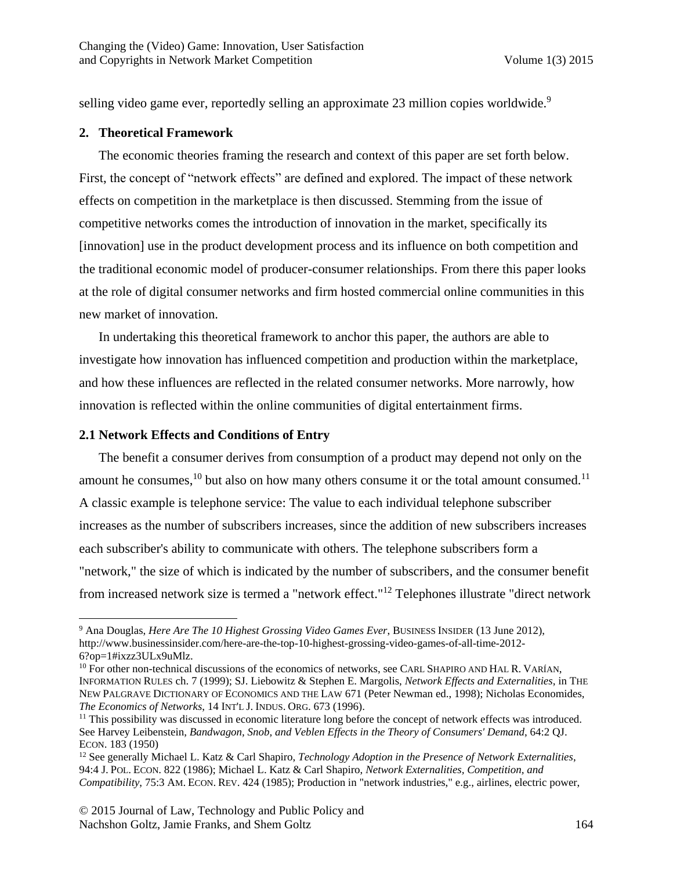selling video game ever, reportedly selling an approximate 23 million copies worldwide.<sup>9</sup>

## **2. Theoretical Framework**

The economic theories framing the research and context of this paper are set forth below. First, the concept of "network effects" are defined and explored. The impact of these network effects on competition in the marketplace is then discussed. Stemming from the issue of competitive networks comes the introduction of innovation in the market, specifically its [innovation] use in the product development process and its influence on both competition and the traditional economic model of producer-consumer relationships. From there this paper looks at the role of digital consumer networks and firm hosted commercial online communities in this new market of innovation.

In undertaking this theoretical framework to anchor this paper, the authors are able to investigate how innovation has influenced competition and production within the marketplace, and how these influences are reflected in the related consumer networks. More narrowly, how innovation is reflected within the online communities of digital entertainment firms.

## **2.1 Network Effects and Conditions of Entry**

The benefit a consumer derives from consumption of a product may depend not only on the amount he consumes, $^{10}$  but also on how many others consume it or the total amount consumed.<sup>11</sup> A classic example is telephone service: The value to each individual telephone subscriber increases as the number of subscribers increases, since the addition of new subscribers increases each subscriber's ability to communicate with others. The telephone subscribers form a "network," the size of which is indicated by the number of subscribers, and the consumer benefit from increased network size is termed a "network effect."<sup>12</sup> Telephones illustrate "direct network

 $\overline{\phantom{a}}$ <sup>9</sup> Ana Douglas, *Here Are The 10 Highest Grossing Video Games Ever*, BUSINESS INSIDER (13 June 2012), http://www.businessinsider.com/here-are-the-top-10-highest-grossing-video-games-of-all-time-2012- 6?op=1#ixzz3ULx9uMlz.

<sup>&</sup>lt;sup>10</sup> For other non-technical discussions of the economics of networks, see CARL SHAPIRO AND HAL R. VARÍAN, INFORMATION RULES ch. 7 (1999); SJ. Liebowitz & Stephen E. Margolis, *Network Effects and Externalities*, in THE NEW PALGRAVE DICTIONARY OF ECONOMICS AND THE LAW 671 (Peter Newman ed., 1998); Nicholas Economides, *The Economics of Networks*, 14 INT'L J. INDUS. ORG. 673 (1996).

<sup>&</sup>lt;sup>11</sup> This possibility was discussed in economic literature long before the concept of network effects was introduced. See Harvey Leibenstein, *Bandwagon, Snob, and Veblen Effects in the Theory of Consumers' Demand*, 64:2 QJ. ECON. 183 (1950)

<sup>12</sup> See generally Michael L. Katz & Carl Shapiro, *Technology Adoption in the Presence of Network Externalities*, 94:4 J. POL. ECON. 822 (1986); Michael L. Katz & Carl Shapiro, *Network Externalities, Competition, and Compatibility*, 75:3 AM. ECON. REV. 424 (1985); Production in "network industries," e.g., airlines, electric power,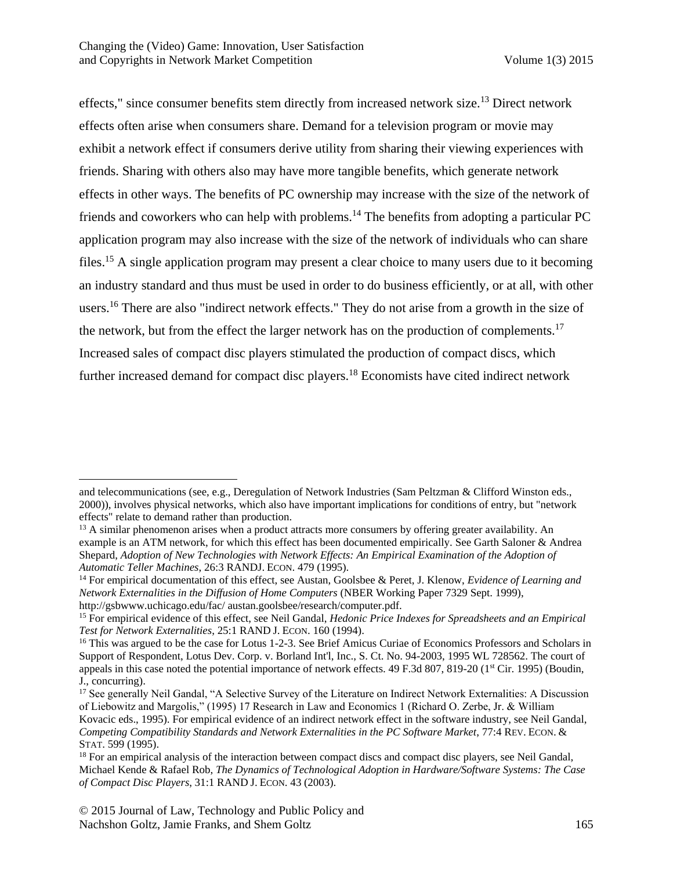effects," since consumer benefits stem directly from increased network size.<sup>13</sup> Direct network effects often arise when consumers share. Demand for a television program or movie may exhibit a network effect if consumers derive utility from sharing their viewing experiences with friends. Sharing with others also may have more tangible benefits, which generate network effects in other ways. The benefits of PC ownership may increase with the size of the network of friends and coworkers who can help with problems.<sup>14</sup> The benefits from adopting a particular PC application program may also increase with the size of the network of individuals who can share files.<sup>15</sup> A single application program may present a clear choice to many users due to it becoming an industry standard and thus must be used in order to do business efficiently, or at all, with other users.<sup>16</sup> There are also "indirect network effects." They do not arise from a growth in the size of the network, but from the effect the larger network has on the production of complements.<sup>17</sup> Increased sales of compact disc players stimulated the production of compact discs, which further increased demand for compact disc players.<sup>18</sup> Economists have cited indirect network

<span id="page-5-0"></span>and telecommunications (see, e.g., Deregulation of Network Industries (Sam Peltzman & Clifford Winston eds., 2000)), involves physical networks, which also have important implications for conditions of entry, but "network effects" relate to demand rather than production.

<sup>&</sup>lt;sup>13</sup> A similar phenomenon arises when a product attracts more consumers by offering greater availability. An example is an ATM network, for which this effect has been documented empirically. See Garth Saloner & Andrea Shepard, *Adoption of New Technologies with Network Effects: An Empirical Examination of the Adoption of Automatic Teller Machines*, 26:3 RANDJ. ECON. 479 (1995).

<sup>14</sup> For empirical documentation of this effect, see Austan, Goolsbee & Peret, J. Klenow, *Evidence of Learning and Network Externalities in the Diffusion of Home Computers* (NBER Working Paper 7329 Sept. 1999), http://gsbwww.uchicago.edu/fac/ austan.goolsbee/research/computer.pdf.

<sup>15</sup> For empirical evidence of this effect, see Neil Gandal, *Hedonic Price Indexes for Spreadsheets and an Empirical Test for Network Externalities*, 25:1 RAND J. ECON. 160 (1994).

<sup>&</sup>lt;sup>16</sup> This was argued to be the case for Lotus 1-2-3. See Brief Amicus Curiae of Economics Professors and Scholars in Support of Respondent, Lotus Dev. Corp. v. Borland Int'l, Inc., S. Ct. No. 94-2003, 1995 WL 728562. The court of appeals in this case noted the potential importance of network effects. 49 F.3d 807, 819-20 (1<sup>st</sup> Cir. 1995) (Boudin, J., concurring).

<sup>&</sup>lt;sup>17</sup> See generally Neil Gandal, "A Selective Survey of the Literature on Indirect Network Externalities: A Discussion of Liebowitz and Margolis," (1995) 17 Research in Law and Economics 1 (Richard O. Zerbe, Jr. & William Kovacic eds., 1995). For empirical evidence of an indirect network effect in the software industry, see Neil Gandal, *Competing Compatibility Standards and Network Externalities in the PC Software Market*, 77:4 REV. ECON. & STAT. 599 (1995).

<sup>&</sup>lt;sup>18</sup> For an empirical analysis of the interaction between compact discs and compact disc players, see Neil Gandal, Michael Kende & Rafael Rob, *The Dynamics of Technological Adoption in Hardware/Software Systems: The Case of Compact Disc Players*, 31:1 RAND J. ECON. 43 (2003).

<sup>© 2015</sup> Journal of Law, Technology and Public Policy and Nachshon Goltz, Jamie Franks, and Shem Goltz 165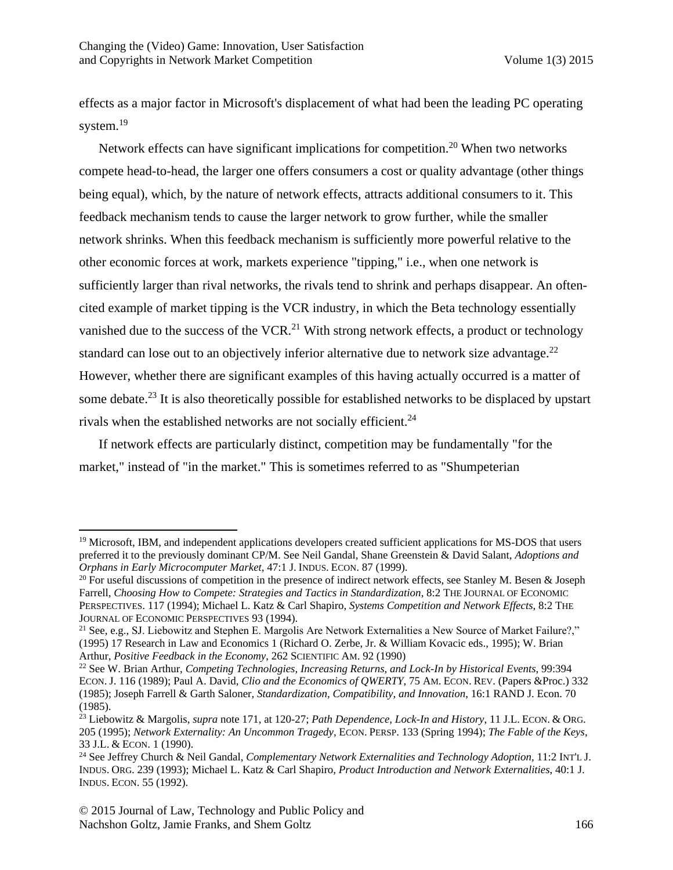effects as a major factor in Microsoft's displacement of what had been the leading PC operating system.<sup>19</sup>

Network effects can have significant implications for competition.<sup>20</sup> When two networks compete head-to-head, the larger one offers consumers a cost or quality advantage (other things being equal), which, by the nature of network effects, attracts additional consumers to it. This feedback mechanism tends to cause the larger network to grow further, while the smaller network shrinks. When this feedback mechanism is sufficiently more powerful relative to the other economic forces at work, markets experience "tipping," i.e., when one network is sufficiently larger than rival networks, the rivals tend to shrink and perhaps disappear. An oftencited example of market tipping is the VCR industry, in which the Beta technology essentially vanished due to the success of the VCR.<sup>21</sup> With strong network effects, a product or technology standard can lose out to an objectively inferior alternative due to network size advantage.<sup>22</sup> However, whether there are significant examples of this having actually occurred is a matter of some debate.<sup>23</sup> It is also theoretically possible for established networks to be displaced by upstart rivals when the established networks are not socially efficient.<sup>24</sup>

If network effects are particularly distinct, competition may be fundamentally "for the market," instead of "in the market." This is sometimes referred to as "Shumpeterian

<sup>&</sup>lt;sup>19</sup> Microsoft, IBM, and independent applications developers created sufficient applications for MS-DOS that users preferred it to the previously dominant CP/M. See Neil Gandal, Shane Greenstein & David Salant, *Adoptions and Orphans in Early Microcomputer Market*, 47:1 J. INDUS. ECON. 87 (1999).

<sup>&</sup>lt;sup>20</sup> For useful discussions of competition in the presence of indirect network effects, see Stanley M. Besen & Joseph Farrell, *Choosing How to Compete: Strategies and Tactics in Standardization*, 8:2 THE JOURNAL OF ECONOMIC PERSPECTIVES. 117 (1994); Michael L. Katz & Carl Shapiro, *Systems Competition and Network Effects*, 8:2 THE JOURNAL OF ECONOMIC PERSPECTIVES 93 (1994).

<sup>&</sup>lt;sup>21</sup> See, e.g., SJ. Liebowitz and Stephen E. Margolis Are Network Externalities a New Source of Market Failure?," (1995) 17 Research in Law and Economics 1 (Richard O. Zerbe, Jr. & William Kovacic eds., 1995); W. Brian Arthur, *Positive Feedback in the Economy*, 262 SCIENTIFIC AM. 92 (1990)

<sup>22</sup> See W. Brian Arthur, *Competing Technologies, Increasing Returns, and Lock-In by Historical Events*, 99:394 ECON. J. 116 (1989); Paul A. David, *Clio and the Economics of QWERTY*, 75 AM. ECON. REV. (Papers &Proc.) 332 (1985); Joseph Farrell & Garth Saloner, *Standardization, Compatibility, and Innovation*, 16:1 RAND J. Econ. 70 (1985).

<sup>23</sup> Liebowitz & Margolis, *supra* note [171](#page-5-0), at 120-27; *Path Dependence, Lock-In and History*, 11 J.L. ECON. & ORG. 205 (1995); *Network Externality: An Uncommon Tragedy*, ECON. PERSP. 133 (Spring 1994); *The Fable of the Keys*, 33 J.L. & ECON. 1 (1990).

<sup>24</sup> See Jeffrey Church & Neil Gandal, *Complementary Network Externalities and Technology Adoption*, 11:2 INT'L J. INDUS. ORG. 239 (1993); Michael L. Katz & Carl Shapiro, *Product Introduction and Network Externalities*, 40:1 J. INDUS. ECON. 55 (1992).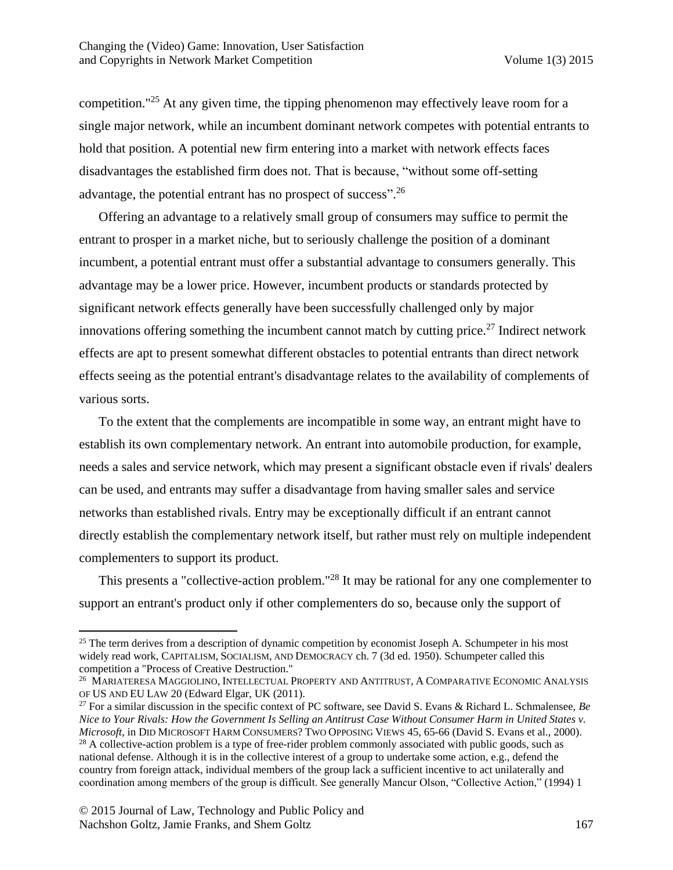competition."<sup>25</sup> At any given time, the tipping phenomenon may effectively leave room for a single major network, while an incumbent dominant network competes with potential entrants to hold that position. A potential new firm entering into a market with network effects faces disadvantages the established firm does not. That is because, "without some off-setting advantage, the potential entrant has no prospect of success".<sup>26</sup>

Offering an advantage to a relatively small group of consumers may suffice to permit the entrant to prosper in a market niche, but to seriously challenge the position of a dominant incumbent, a potential entrant must offer a substantial advantage to consumers generally. This advantage may be a lower price. However, incumbent products or standards protected by significant network effects generally have been successfully challenged only by major innovations offering something the incumbent cannot match by cutting price.<sup>27</sup> Indirect network effects are apt to present somewhat different obstacles to potential entrants than direct network effects seeing as the potential entrant's disadvantage relates to the availability of complements of various sorts.

To the extent that the complements are incompatible in some way, an entrant might have to establish its own complementary network. An entrant into automobile production, for example, needs a sales and service network, which may present a significant obstacle even if rivals' dealers can be used, and entrants may suffer a disadvantage from having smaller sales and service networks than established rivals. Entry may be exceptionally difficult if an entrant cannot directly establish the complementary network itself, but rather must rely on multiple independent complementers to support its product.

This presents a "collective-action problem."<sup>28</sup> It may be rational for any one complementer to support an entrant's product only if other complementers do so, because only the support of

<sup>&</sup>lt;sup>25</sup> The term derives from a description of dynamic competition by economist Joseph A. Schumpeter in his most widely read work, CAPITALISM, SOCIALISM, AND DEMOCRACY ch. 7 (3d ed. 1950). Schumpeter called this competition a "Process of Creative Destruction."

<sup>&</sup>lt;sup>26</sup> MARIATERESA MAGGIOLINO, INTELLECTUAL PROPERTY AND ANTITRUST, A COMPARATIVE ECONOMIC ANALYSIS OF US AND EU LAW 20 (Edward Elgar, UK (2011).

<sup>27</sup> For a similar discussion in the specific context of PC software, see David S. Evans & Richard L. Schmalensee, *Be Nice to Your Rivals: How the Government Is Selling an Antitrust Case Without Consumer Harm in United States v. Microsoft*, in DID MICROSOFT HARM CONSUMERS? TWO OPPOSING VIEWS 45, 65-66 (David S. Evans et al., 2000). <sup>28</sup> A collective-action problem is a type of free-rider problem commonly associated with public goods, such as national defense. Although it is in the collective interest of a group to undertake some action, e.g., defend the country from foreign attack, individual members of the group lack a sufficient incentive to act unilaterally and coordination among members of the group is difficult. See generally Mancur Olson, "Collective Action," (1994) 1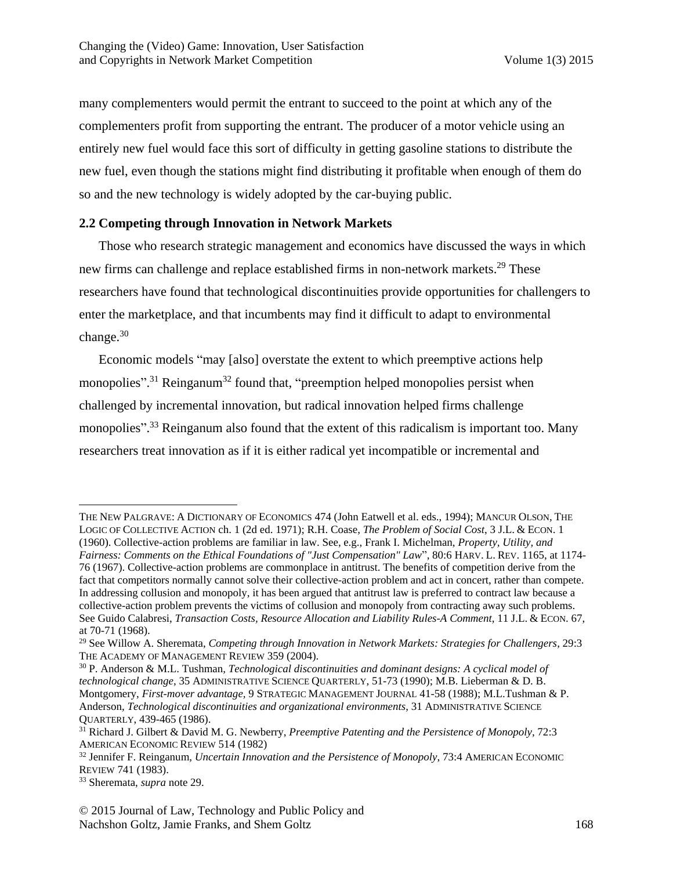many complementers would permit the entrant to succeed to the point at which any of the complementers profit from supporting the entrant. The producer of a motor vehicle using an entirely new fuel would face this sort of difficulty in getting gasoline stations to distribute the new fuel, even though the stations might find distributing it profitable when enough of them do so and the new technology is widely adopted by the car-buying public.

## **2.2 Competing through Innovation in Network Markets**

Those who research strategic management and economics have discussed the ways in which new firms can challenge and replace established firms in non-network markets.<sup>29</sup> These researchers have found that technological discontinuities provide opportunities for challengers to enter the marketplace, and that incumbents may find it difficult to adapt to environmental change.<sup>30</sup>

Economic models "may [also] overstate the extent to which preemptive actions help monopolies".<sup>31</sup> Reinganum<sup>32</sup> found that, "preemption helped monopolies persist when challenged by incremental innovation, but radical innovation helped firms challenge monopolies".<sup>33</sup> Reinganum also found that the extent of this radicalism is important too. Many researchers treat innovation as if it is either radical yet incompatible or incremental and

 $\overline{a}$ 

THE NEW PALGRAVE: A DICTIONARY OF ECONOMICS 474 (John Eatwell et al. eds., 1994); MANCUR OLSON, THE LOGIC OF COLLECTIVE ACTION ch. 1 (2d ed. 1971); R.H. Coase, *The Problem of Social Cost*, 3 J.L. & ECON. 1 (1960). Collective-action problems are familiar in law. See, e.g., Frank I. Michelman, *Property, Utility, and Fairness: Comments on the Ethical Foundations of "Just Compensation" Law*", 80:6 HARV. L. REV. 1165, at 1174- 76 (1967). Collective-action problems are commonplace in antitrust. The benefits of competition derive from the fact that competitors normally cannot solve their collective-action problem and act in concert, rather than compete. In addressing collusion and monopoly, it has been argued that antitrust law is preferred to contract law because a collective-action problem prevents the victims of collusion and monopoly from contracting away such problems. See Guido Calabresi, *Transaction Costs, Resource Allocation and Liability Rules-A Comment*, 11 J.L. & ECON. 67, at 70-71 (1968).

<sup>29</sup> See Willow A. Sheremata, *Competing through Innovation in Network Markets: Strategies for Challengers,* 29:3 THE ACADEMY OF MANAGEMENT REVIEW 359 (2004).

<sup>30</sup> P. Anderson & M.L. Tushman, *Technological discontinuities and dominant designs: A cyclical model of technological change*, 35 ADMINISTRATIVE SCIENCE QUARTERLY, 51-73 (1990); M.B. Lieberman & D. B. Montgomery, *First-mover advantage,* 9 STRATEGIC MANAGEMENT JOURNAL 41-58 (1988); M.L.Tushman & P. Anderson, *Technological discontinuities and organizational environments*, 31 ADMINISTRATIVE SCIENCE QUARTERLY, 439-465 (1986).

<sup>31</sup> Richard J. Gilbert & David M. G. Newberry, *Preemptive Patenting and the Persistence of Monopoly*, 72:3 AMERICAN ECONOMIC REVIEW 514 (1982)

<sup>32</sup> Jennifer F. Reinganum, *Uncertain Innovation and the Persistence of Monopoly*, 73:4 AMERICAN ECONOMIC REVIEW 741 (1983).

<sup>33</sup> Sheremata, *supra* note 29.

<sup>© 2015</sup> Journal of Law, Technology and Public Policy and Nachshon Goltz, Jamie Franks, and Shem Goltz 168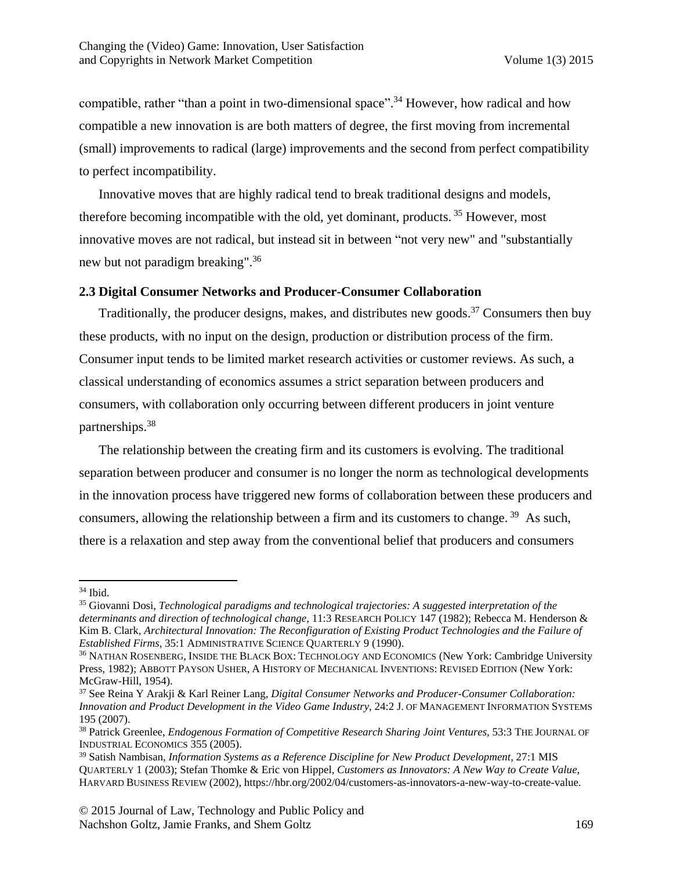compatible, rather "than a point in two-dimensional space".<sup>34</sup> However, how radical and how compatible a new innovation is are both matters of degree, the first moving from incremental (small) improvements to radical (large) improvements and the second from perfect compatibility to perfect incompatibility.

Innovative moves that are highly radical tend to break traditional designs and models, therefore becoming incompatible with the old, yet dominant, products. <sup>35</sup> However, most innovative moves are not radical, but instead sit in between "not very new" and "substantially new but not paradigm breaking".<sup>36</sup>

#### **2.3 Digital Consumer Networks and Producer-Consumer Collaboration**

Traditionally, the producer designs, makes, and distributes new goods.<sup>37</sup> Consumers then buy these products, with no input on the design, production or distribution process of the firm. Consumer input tends to be limited market research activities or customer reviews. As such, a classical understanding of economics assumes a strict separation between producers and consumers, with collaboration only occurring between different producers in joint venture partnerships. 38

The relationship between the creating firm and its customers is evolving. The traditional separation between producer and consumer is no longer the norm as technological developments in the innovation process have triggered new forms of collaboration between these producers and consumers, allowing the relationship between a firm and its customers to change.<sup>39</sup> As such, there is a relaxation and step away from the conventional belief that producers and consumers

 $\overline{a}$ 

<sup>34</sup> Ibid.

<sup>35</sup> Giovanni Dosi, *Technological paradigms and technological trajectories: A suggested interpretation of the determinants and direction of technological change,* 11:3 RESEARCH POLICY 147 (1982); Rebecca M. Henderson & Kim B. Clark, *Architectural Innovation: The Reconfiguration of Existing Product Technologies and the Failure of Established Firms*, 35:1 ADMINISTRATIVE SCIENCE QUARTERLY 9 (1990).

<sup>36</sup> NATHAN ROSENBERG, INSIDE THE BLACK BOX: TECHNOLOGY AND ECONOMICS (New York: Cambridge University Press, 1982); ABBOTT PAYSON USHER, A HISTORY OF MECHANICAL INVENTIONS: REVISED EDITION (New York: McGraw-Hill, 1954).

<sup>37</sup> See Reina Y Arakji & Karl Reiner Lang, *Digital Consumer Networks and Producer-Consumer Collaboration: Innovation and Product Development in the Video Game Industry*, 24:2 J. OF MANAGEMENT INFORMATION SYSTEMS 195 (2007).

<sup>38</sup> Patrick Greenlee, *Endogenous Formation of Competitive Research Sharing Joint Ventures*, 53:3 THE JOURNAL OF INDUSTRIAL ECONOMICS 355 (2005).

<sup>39</sup> Satish Nambisan, *Information Systems as a Reference Discipline for New Product Development*, 27:1 MIS QUARTERLY 1 (2003); Stefan Thomke & Eric von Hippel, *Customers as Innovators: A New Way to Create Value*, HARVARD BUSINESS REVIEW (2002), https://hbr.org/2002/04/customers-as-innovators-a-new-way-to-create-value.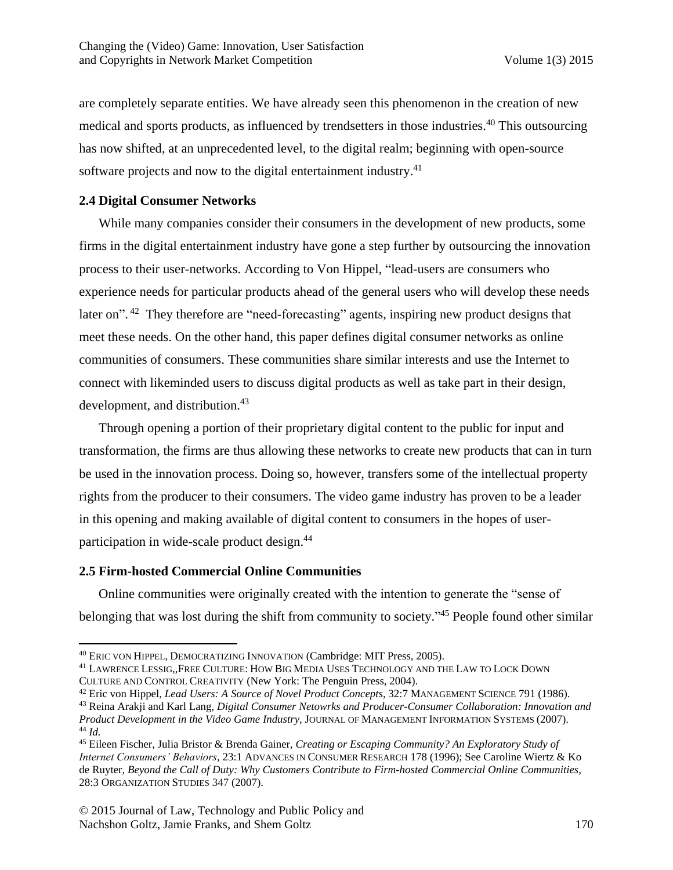are completely separate entities. We have already seen this phenomenon in the creation of new medical and sports products, as influenced by trendsetters in those industries. <sup>40</sup> This outsourcing has now shifted, at an unprecedented level, to the digital realm; beginning with open-source software projects and now to the digital entertainment industry.<sup>41</sup>

## **2.4 Digital Consumer Networks**

While many companies consider their consumers in the development of new products, some firms in the digital entertainment industry have gone a step further by outsourcing the innovation process to their user-networks. According to Von Hippel, "lead-users are consumers who experience needs for particular products ahead of the general users who will develop these needs later on".<sup>42</sup> They therefore are "need-forecasting" agents, inspiring new product designs that meet these needs. On the other hand, this paper defines digital consumer networks as online communities of consumers. These communities share similar interests and use the Internet to connect with likeminded users to discuss digital products as well as take part in their design, development, and distribution.<sup>43</sup>

Through opening a portion of their proprietary digital content to the public for input and transformation, the firms are thus allowing these networks to create new products that can in turn be used in the innovation process. Doing so, however, transfers some of the intellectual property rights from the producer to their consumers. The video game industry has proven to be a leader in this opening and making available of digital content to consumers in the hopes of userparticipation in wide-scale product design.<sup>44</sup>

## **2.5 Firm-hosted Commercial Online Communities**

 $\overline{\phantom{a}}$ 

Online communities were originally created with the intention to generate the "sense of belonging that was lost during the shift from community to society."<sup>45</sup> People found other similar

<sup>40</sup> ERIC VON HIPPEL, DEMOCRATIZING INNOVATION (Cambridge: MIT Press, 2005).

<sup>41</sup> LAWRENCE LESSIG,,FREE CULTURE: HOW BIG MEDIA USES TECHNOLOGY AND THE LAW TO LOCK DOWN CULTURE AND CONTROL CREATIVITY (New York: The Penguin Press, 2004).

<sup>42</sup> Eric von Hippel, *Lead Users: A Source of Novel Product Concepts*, 32:7 MANAGEMENT SCIENCE 791 (1986).

<sup>43</sup> Reina Arakji and Karl Lang, *Digital Consumer Netowrks and Producer-Consumer Collaboration: Innovation and Product Development in the Video Game Industry*, JOURNAL OF MANAGEMENT INFORMATION SYSTEMS (2007). <sup>44</sup> *Id.*

<sup>45</sup> Eileen Fischer, Julia Bristor & Brenda Gainer, *Creating or Escaping Community? An Exploratory Study of Internet Consumers' Behaviors*, 23:1 ADVANCES IN CONSUMER RESEARCH 178 (1996); See Caroline Wiertz & Ko de Ruyter, *Beyond the Call of Duty: Why Customers Contribute to Firm-hosted Commercial Online Communities*, 28:3 ORGANIZATION STUDIES 347 (2007).

<sup>© 2015</sup> Journal of Law, Technology and Public Policy and Nachshon Goltz, Jamie Franks, and Shem Goltz 170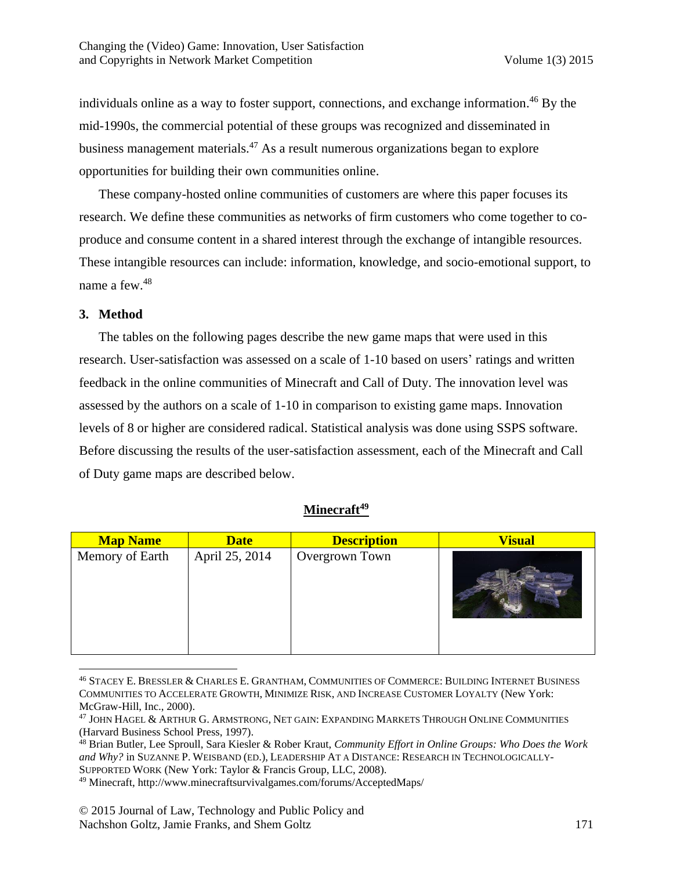individuals online as a way to foster support, connections, and exchange information. <sup>46</sup> By the mid-1990s, the commercial potential of these groups was recognized and disseminated in business management materials. <sup>47</sup> As a result numerous organizations began to explore opportunities for building their own communities online.

These company-hosted online communities of customers are where this paper focuses its research. We define these communities as networks of firm customers who come together to coproduce and consume content in a shared interest through the exchange of intangible resources. These intangible resources can include: information, knowledge, and socio-emotional support, to name a few. 48

## **3. Method**

 $\overline{\phantom{a}}$ 

The tables on the following pages describe the new game maps that were used in this research. User-satisfaction was assessed on a scale of 1-10 based on users' ratings and written feedback in the online communities of Minecraft and Call of Duty. The innovation level was assessed by the authors on a scale of 1-10 in comparison to existing game maps. Innovation levels of 8 or higher are considered radical. Statistical analysis was done using SSPS software. Before discussing the results of the user-satisfaction assessment, each of the Minecraft and Call of Duty game maps are described below.

#### **Minecraft<sup>49</sup>**

| <b>Map Name</b> | <b>Date</b>    | <b>Description</b> | <b>Visual</b> |
|-----------------|----------------|--------------------|---------------|
| Memory of Earth | April 25, 2014 | Overgrown Town     |               |

<sup>46</sup> STACEY E. BRESSLER & CHARLES E. GRANTHAM, COMMUNITIES OF COMMERCE: BUILDING INTERNET BUSINESS COMMUNITIES TO ACCELERATE GROWTH, MINIMIZE RISK, AND INCREASE CUSTOMER LOYALTY (New York: McGraw-Hill, Inc., 2000).

<sup>47</sup> JOHN HAGEL & ARTHUR G. ARMSTRONG, NET GAIN: EXPANDING MARKETS THROUGH ONLINE COMMUNITIES (Harvard Business School Press, 1997).

<sup>48</sup> Brian Butler, Lee Sproull, Sara Kiesler & Rober Kraut, *Community Effort in Online Groups: Who Does the Work and Why?* in SUZANNE P. WEISBAND (ED.), LEADERSHIP AT A DISTANCE: RESEARCH IN TECHNOLOGICALLY-SUPPORTED WORK (New York: Taylor & Francis Group, LLC, 2008).

<sup>49</sup> Minecraft, http://www.minecraftsurvivalgames.com/forums/AcceptedMaps/

<sup>© 2015</sup> Journal of Law, Technology and Public Policy and Nachshon Goltz, Jamie Franks, and Shem Goltz 171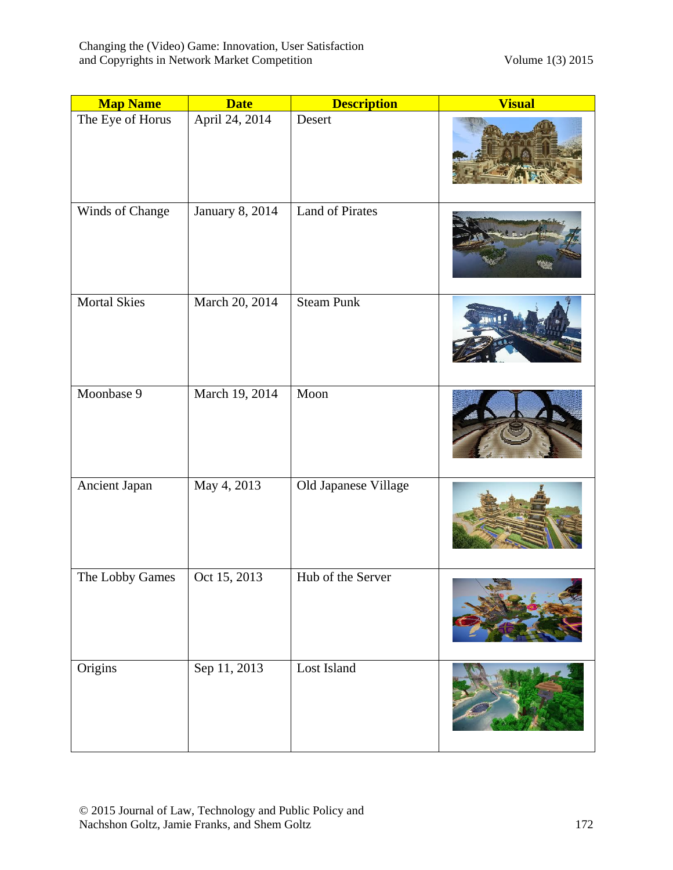| <b>Map Name</b>     | <b>Date</b>     | <b>Description</b>     | <b>Visual</b> |
|---------------------|-----------------|------------------------|---------------|
| The Eye of Horus    | April 24, 2014  | Desert                 |               |
| Winds of Change     | January 8, 2014 | <b>Land of Pirates</b> |               |
| <b>Mortal Skies</b> | March 20, 2014  | <b>Steam Punk</b>      |               |
| Moonbase 9          | March 19, 2014  | Moon                   |               |
| Ancient Japan       | May 4, 2013     | Old Japanese Village   |               |
| The Lobby Games     | Oct 15, 2013    | Hub of the Server      |               |
| Origins             | Sep 11, 2013    | Lost Island            |               |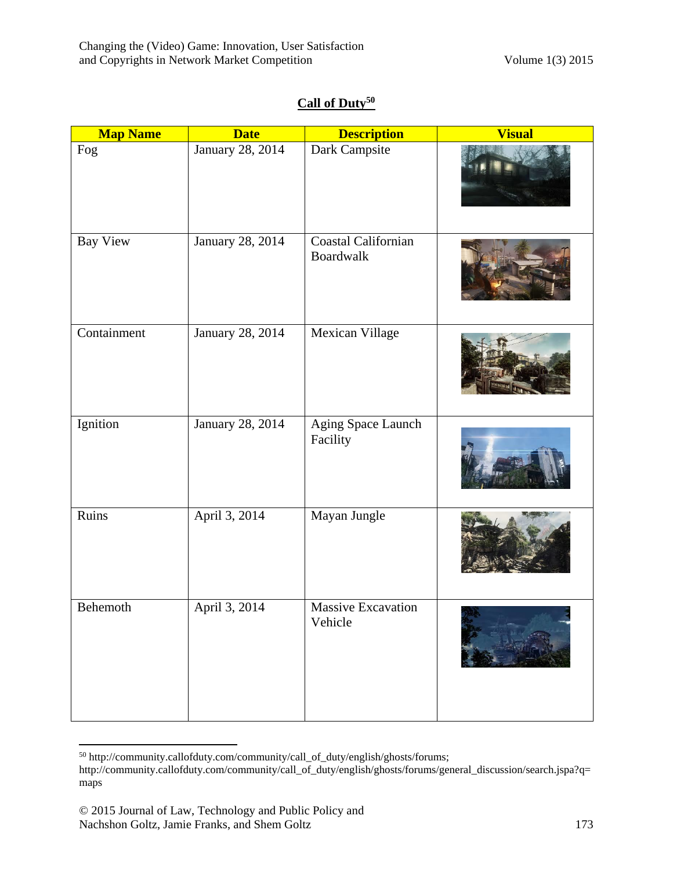# **Call of Duty<sup>50</sup>**

| <b>Map Name</b> | <b>Date</b>      | <b>Description</b>               | <b>Visual</b> |
|-----------------|------------------|----------------------------------|---------------|
| Fog             | January 28, 2014 | Dark Campsite                    |               |
| Bay View        | January 28, 2014 | Coastal Californian<br>Boardwalk |               |
| Containment     | January 28, 2014 | Mexican Village                  |               |
| Ignition        | January 28, 2014 | Aging Space Launch<br>Facility   |               |
| Ruins           | April 3, 2014    | Mayan Jungle                     |               |
| Behemoth        | April 3, 2014    | Massive Excavation<br>Vehicle    |               |

 $\overline{\phantom{a}}$ <sup>50</sup> http://community.callofduty.com/community/call\_of\_duty/english/ghosts/forums;

http://community.callofduty.com/community/call\_of\_duty/english/ghosts/forums/general\_discussion/search.jspa?q= maps

<sup>© 2015</sup> Journal of Law, Technology and Public Policy and Nachshon Goltz, Jamie Franks, and Shem Goltz 173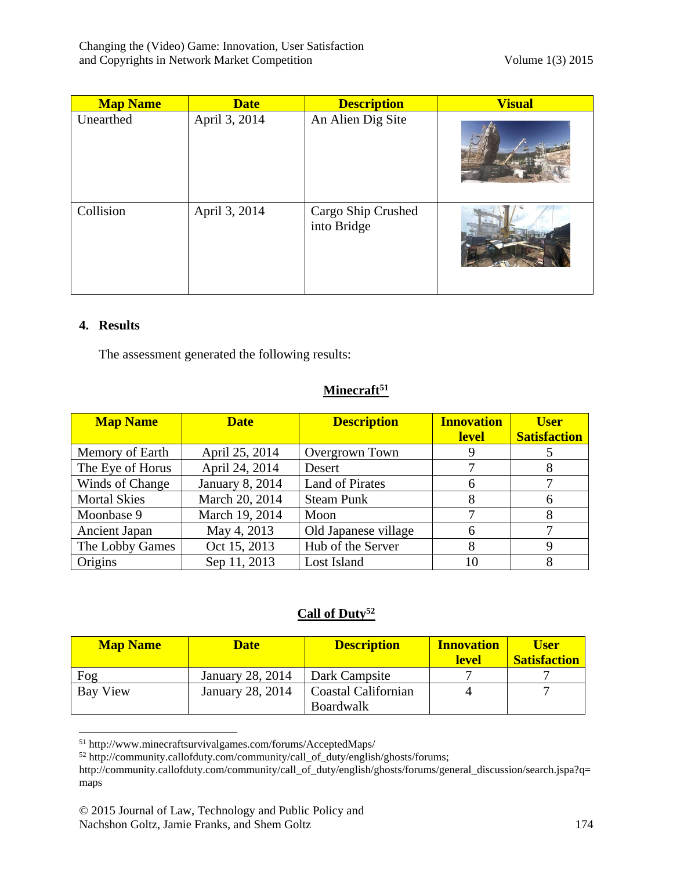| <b>Map Name</b> | <b>Date</b>   | <b>Description</b>                | <b>Visual</b> |
|-----------------|---------------|-----------------------------------|---------------|
| Unearthed       | April 3, 2014 | An Alien Dig Site                 |               |
| Collision       | April 3, 2014 | Cargo Ship Crushed<br>into Bridge |               |

## **4. Results**

The assessment generated the following results:

## **Minecraft<sup>51</sup>**

| <b>Map Name</b>      | <b>Date</b>     | <b>Description</b>     | <b>Innovation</b><br><b>level</b> | <b>User</b><br><b>Satisfaction</b> |
|----------------------|-----------------|------------------------|-----------------------------------|------------------------------------|
| Memory of Earth      | April 25, 2014  | Overgrown Town         |                                   |                                    |
| The Eye of Horus     | April 24, 2014  | Desert                 |                                   |                                    |
| Winds of Change      | January 8, 2014 | <b>Land of Pirates</b> | 6                                 |                                    |
| <b>Mortal Skies</b>  | March 20, 2014  | <b>Steam Punk</b>      |                                   |                                    |
| Moonbase 9           | March 19, 2014  | Moon                   |                                   |                                    |
| <b>Ancient Japan</b> | May 4, 2013     | Old Japanese village   | 6                                 |                                    |
| The Lobby Games      | Oct 15, 2013    | Hub of the Server      | 8                                 |                                    |
| Origins              | Sep 11, 2013    | Lost Island            | 10                                |                                    |

## **Call of Duty<sup>52</sup>**

| <b>Map Name</b> | <b>Date</b>      | <b>Description</b>  | <b>Innovation</b><br><b>level</b> | <b>User</b><br><b>Satisfaction</b> |
|-----------------|------------------|---------------------|-----------------------------------|------------------------------------|
| Fog             | January 28, 2014 | Dark Campsite       |                                   |                                    |
| Bay View        | January 28, 2014 | Coastal Californian |                                   |                                    |
|                 |                  | <b>Boardwalk</b>    |                                   |                                    |

 $\overline{\phantom{a}}$ <sup>51</sup> http://www.minecraftsurvivalgames.com/forums/AcceptedMaps/

 $52 \text{ http://community.callofduty.com/comunity/call_of_duty/english/ghosts/forms};$ 

http://community.callofduty.com/community/call\_of\_duty/english/ghosts/forums/general\_discussion/search.jspa?q= maps

<sup>© 2015</sup> Journal of Law, Technology and Public Policy and Nachshon Goltz, Jamie Franks, and Shem Goltz 174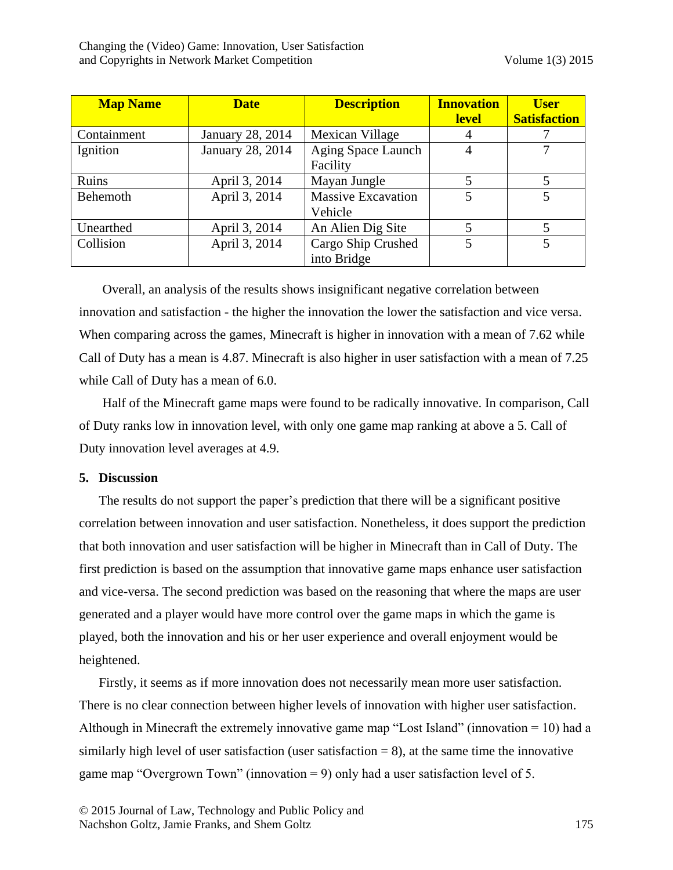| <b>Map Name</b> | <b>Date</b>      | <b>Description</b>                   | <b>Innovation</b><br><b>level</b> | <b>User</b><br><b>Satisfaction</b> |
|-----------------|------------------|--------------------------------------|-----------------------------------|------------------------------------|
| Containment     | January 28, 2014 | Mexican Village                      | 4                                 |                                    |
| Ignition        | January 28, 2014 | Aging Space Launch<br>Facility       | 4                                 |                                    |
| Ruins           | April 3, 2014    | Mayan Jungle                         | 5                                 |                                    |
| Behemoth        | April 3, 2014    | <b>Massive Excavation</b><br>Vehicle | 5                                 |                                    |
| Unearthed       | April 3, 2014    | An Alien Dig Site                    | 5                                 |                                    |
| Collision       | April 3, 2014    | Cargo Ship Crushed<br>into Bridge    | 5                                 |                                    |

Overall, an analysis of the results shows insignificant negative correlation between innovation and satisfaction - the higher the innovation the lower the satisfaction and vice versa. When comparing across the games, Minecraft is higher in innovation with a mean of 7.62 while Call of Duty has a mean is 4.87. Minecraft is also higher in user satisfaction with a mean of 7.25 while Call of Duty has a mean of 6.0.

Half of the Minecraft game maps were found to be radically innovative. In comparison, Call of Duty ranks low in innovation level, with only one game map ranking at above a 5. Call of Duty innovation level averages at 4.9.

#### **5. Discussion**

The results do not support the paper's prediction that there will be a significant positive correlation between innovation and user satisfaction. Nonetheless, it does support the prediction that both innovation and user satisfaction will be higher in Minecraft than in Call of Duty. The first prediction is based on the assumption that innovative game maps enhance user satisfaction and vice-versa. The second prediction was based on the reasoning that where the maps are user generated and a player would have more control over the game maps in which the game is played, both the innovation and his or her user experience and overall enjoyment would be heightened.

Firstly, it seems as if more innovation does not necessarily mean more user satisfaction. There is no clear connection between higher levels of innovation with higher user satisfaction. Although in Minecraft the extremely innovative game map "Lost Island" (innovation = 10) had a similarly high level of user satisfaction (user satisfaction  $= 8$ ), at the same time the innovative game map "Overgrown Town" (innovation = 9) only had a user satisfaction level of 5.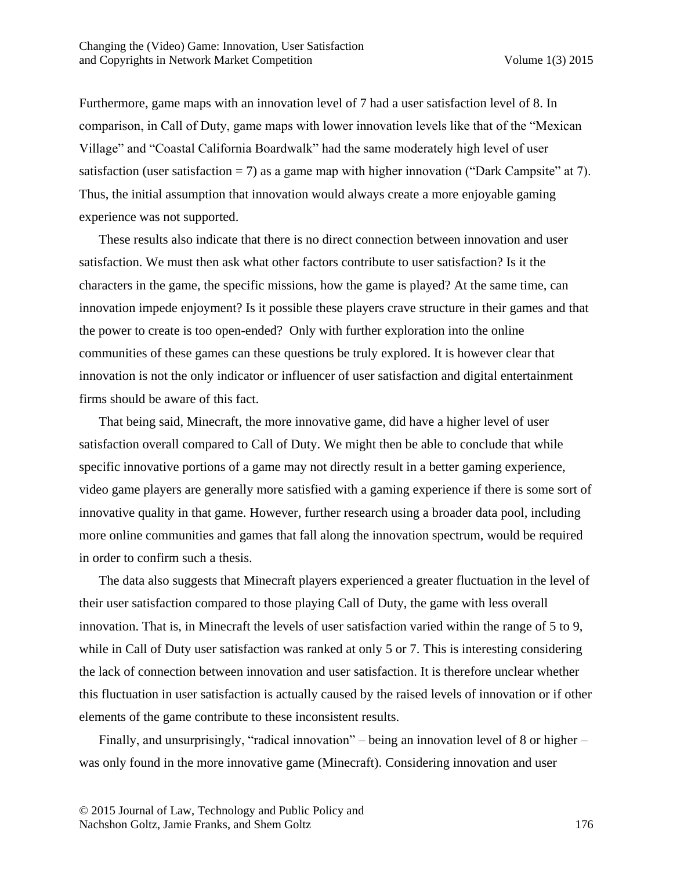Furthermore, game maps with an innovation level of 7 had a user satisfaction level of 8. In comparison, in Call of Duty, game maps with lower innovation levels like that of the "Mexican Village" and "Coastal California Boardwalk" had the same moderately high level of user satisfaction (user satisfaction  $= 7$ ) as a game map with higher innovation ("Dark Campsite" at 7). Thus, the initial assumption that innovation would always create a more enjoyable gaming experience was not supported.

These results also indicate that there is no direct connection between innovation and user satisfaction. We must then ask what other factors contribute to user satisfaction? Is it the characters in the game, the specific missions, how the game is played? At the same time, can innovation impede enjoyment? Is it possible these players crave structure in their games and that the power to create is too open-ended? Only with further exploration into the online communities of these games can these questions be truly explored. It is however clear that innovation is not the only indicator or influencer of user satisfaction and digital entertainment firms should be aware of this fact.

That being said, Minecraft, the more innovative game, did have a higher level of user satisfaction overall compared to Call of Duty. We might then be able to conclude that while specific innovative portions of a game may not directly result in a better gaming experience, video game players are generally more satisfied with a gaming experience if there is some sort of innovative quality in that game. However, further research using a broader data pool, including more online communities and games that fall along the innovation spectrum, would be required in order to confirm such a thesis.

The data also suggests that Minecraft players experienced a greater fluctuation in the level of their user satisfaction compared to those playing Call of Duty, the game with less overall innovation. That is, in Minecraft the levels of user satisfaction varied within the range of 5 to 9, while in Call of Duty user satisfaction was ranked at only 5 or 7. This is interesting considering the lack of connection between innovation and user satisfaction. It is therefore unclear whether this fluctuation in user satisfaction is actually caused by the raised levels of innovation or if other elements of the game contribute to these inconsistent results.

Finally, and unsurprisingly, "radical innovation" – being an innovation level of 8 or higher – was only found in the more innovative game (Minecraft). Considering innovation and user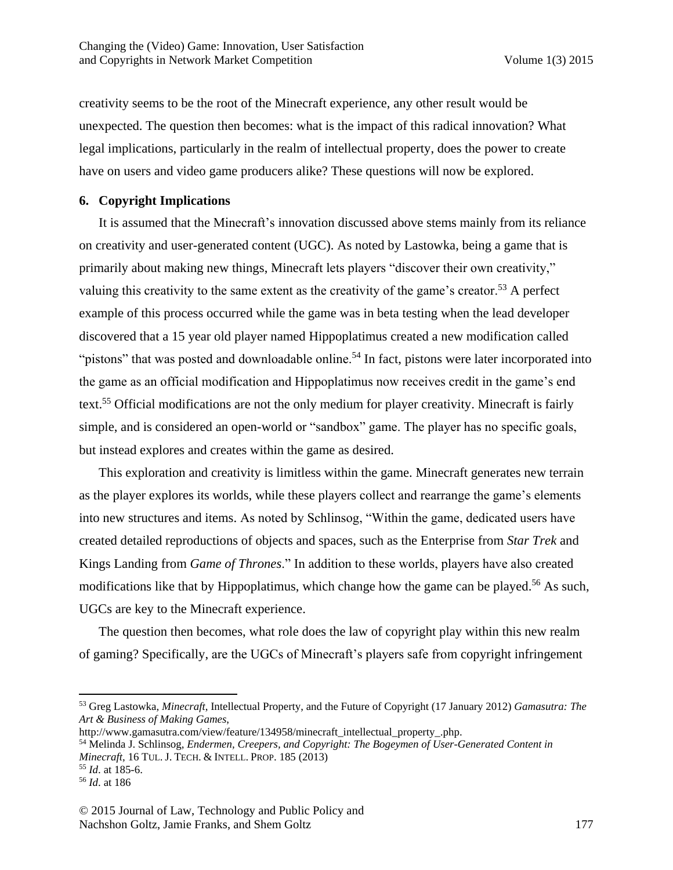creativity seems to be the root of the Minecraft experience, any other result would be unexpected. The question then becomes: what is the impact of this radical innovation? What legal implications, particularly in the realm of intellectual property, does the power to create have on users and video game producers alike? These questions will now be explored.

#### **6. Copyright Implications**

It is assumed that the Minecraft's innovation discussed above stems mainly from its reliance on creativity and user-generated content (UGC). As noted by Lastowka, being a game that is primarily about making new things, Minecraft lets players "discover their own creativity," valuing this creativity to the same extent as the creativity of the game's creator.<sup>53</sup> A perfect example of this process occurred while the game was in beta testing when the lead developer discovered that a 15 year old player named Hippoplatimus created a new modification called "pistons" that was posted and downloadable online.<sup>54</sup> In fact, pistons were later incorporated into the game as an official modification and Hippoplatimus now receives credit in the game's end text.<sup>55</sup> Official modifications are not the only medium for player creativity. Minecraft is fairly simple, and is considered an open-world or "sandbox" game. The player has no specific goals, but instead explores and creates within the game as desired.

This exploration and creativity is limitless within the game. Minecraft generates new terrain as the player explores its worlds, while these players collect and rearrange the game's elements into new structures and items. As noted by Schlinsog, "Within the game, dedicated users have created detailed reproductions of objects and spaces, such as the Enterprise from *Star Trek* and Kings Landing from *Game of Thrones*." In addition to these worlds, players have also created modifications like that by Hippoplatimus, which change how the game can be played.<sup>56</sup> As such, UGCs are key to the Minecraft experience.

The question then becomes, what role does the law of copyright play within this new realm of gaming? Specifically, are the UGCs of Minecraft's players safe from copyright infringement

<sup>53</sup> Greg Lastowka, *Minecraft*, Intellectual Property, and the Future of Copyright (17 January 2012) *Gamasutra: The Art & Business of Making Games*,

http://www.gamasutra.com/view/feature/134958/minecraft\_intellectual\_property\_.php.

<sup>54</sup> Melinda J. Schlinsog, *Endermen, Creepers, and Copyright: The Bogeymen of User-Generated Content in Minecraft*, 16 TUL. J. TECH. & INTELL. PROP. 185 (2013)

<sup>55</sup> *Id*. at 185-6.

<sup>56</sup> *Id*. at 186

<sup>© 2015</sup> Journal of Law, Technology and Public Policy and Nachshon Goltz, Jamie Franks, and Shem Goltz 177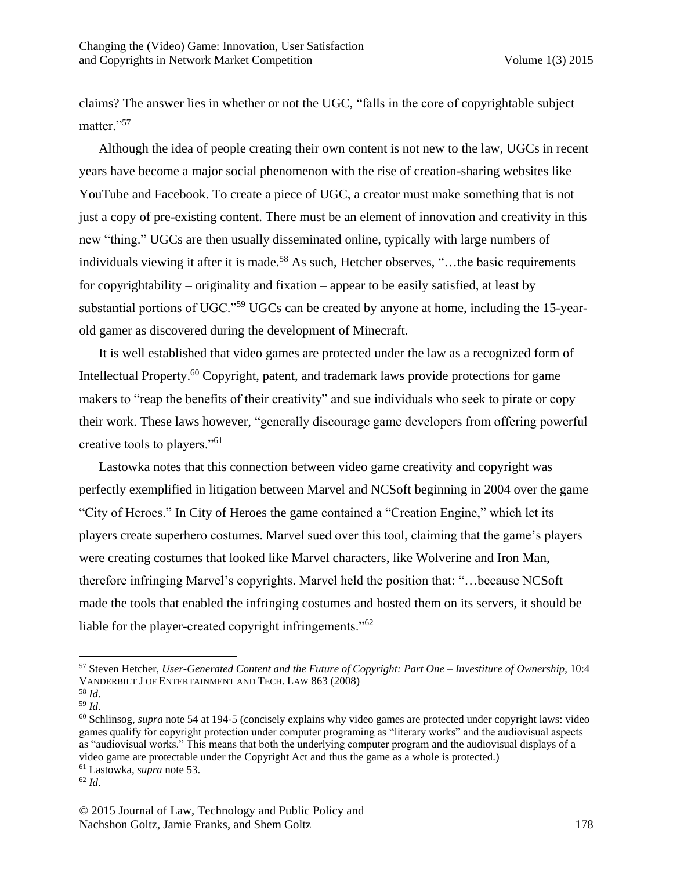claims? The answer lies in whether or not the UGC, "falls in the core of copyrightable subject matter."<sup>57</sup>

Although the idea of people creating their own content is not new to the law, UGCs in recent years have become a major social phenomenon with the rise of creation-sharing websites like YouTube and Facebook. To create a piece of UGC, a creator must make something that is not just a copy of pre-existing content. There must be an element of innovation and creativity in this new "thing." UGCs are then usually disseminated online, typically with large numbers of individuals viewing it after it is made.<sup>58</sup> As such, Hetcher observes, "...the basic requirements for copyrightability – originality and fixation – appear to be easily satisfied, at least by substantial portions of UGC."<sup>59</sup> UGCs can be created by anyone at home, including the 15-yearold gamer as discovered during the development of Minecraft.

It is well established that video games are protected under the law as a recognized form of Intellectual Property.<sup>60</sup> Copyright, patent, and trademark laws provide protections for game makers to "reap the benefits of their creativity" and sue individuals who seek to pirate or copy their work. These laws however, "generally discourage game developers from offering powerful creative tools to players."<sup>61</sup>

Lastowka notes that this connection between video game creativity and copyright was perfectly exemplified in litigation between Marvel and NCSoft beginning in 2004 over the game "City of Heroes." In City of Heroes the game contained a "Creation Engine," which let its players create superhero costumes. Marvel sued over this tool, claiming that the game's players were creating costumes that looked like Marvel characters, like Wolverine and Iron Man, therefore infringing Marvel's copyrights. Marvel held the position that: "…because NCSoft made the tools that enabled the infringing costumes and hosted them on its servers, it should be liable for the player-created copyright infringements.<sup>"62</sup>

<sup>57</sup> Steven Hetcher, *User-Generated Content and the Future of Copyright: Part One – Investiture of Ownership*, 10:4 VANDERBILT J OF ENTERTAINMENT AND TECH. LAW 863 (2008)

<sup>58</sup> *Id*.

<sup>59</sup> *Id*.

<sup>60</sup> Schlinsog, *supra* note 54 at 194-5 (concisely explains why video games are protected under copyright laws: video games qualify for copyright protection under computer programing as "literary works" and the audiovisual aspects as "audiovisual works." This means that both the underlying computer program and the audiovisual displays of a video game are protectable under the Copyright Act and thus the game as a whole is protected.)

<sup>61</sup> Lastowka, *supra* note 53.

<sup>62</sup> *Id*.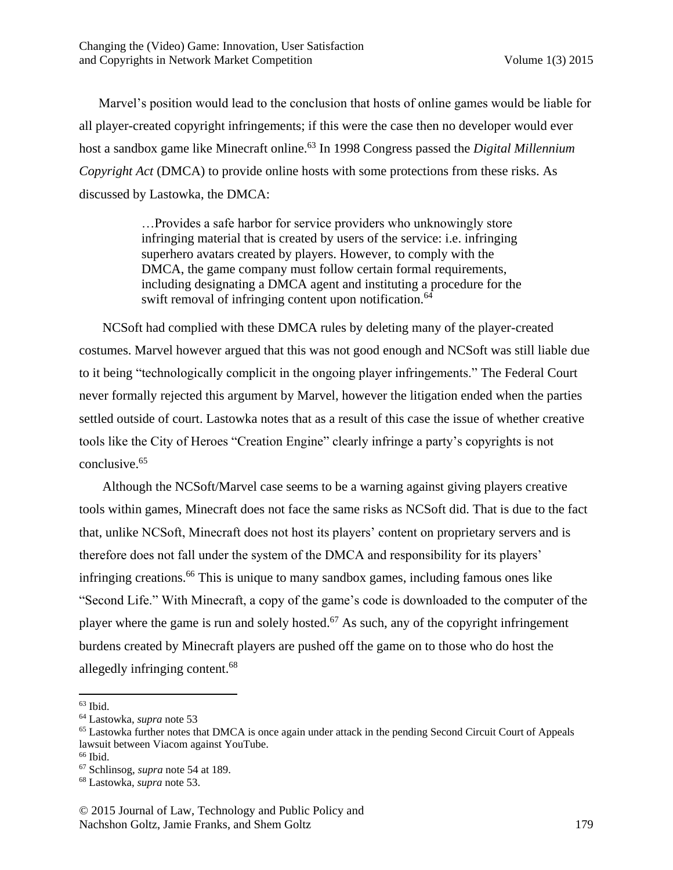Marvel's position would lead to the conclusion that hosts of online games would be liable for all player-created copyright infringements; if this were the case then no developer would ever host a sandbox game like Minecraft online.<sup>63</sup> In 1998 Congress passed the *Digital Millennium Copyright Act* (DMCA) to provide online hosts with some protections from these risks. As discussed by Lastowka, the DMCA:

> …Provides a safe harbor for service providers who unknowingly store infringing material that is created by users of the service: i.e. infringing superhero avatars created by players. However, to comply with the DMCA, the game company must follow certain formal requirements, including designating a DMCA agent and instituting a procedure for the swift removal of infringing content upon notification.<sup>64</sup>

NCSoft had complied with these DMCA rules by deleting many of the player-created costumes. Marvel however argued that this was not good enough and NCSoft was still liable due to it being "technologically complicit in the ongoing player infringements." The Federal Court never formally rejected this argument by Marvel, however the litigation ended when the parties settled outside of court. Lastowka notes that as a result of this case the issue of whether creative tools like the City of Heroes "Creation Engine" clearly infringe a party's copyrights is not conclusive.<sup>65</sup>

Although the NCSoft/Marvel case seems to be a warning against giving players creative tools within games, Minecraft does not face the same risks as NCSoft did. That is due to the fact that, unlike NCSoft, Minecraft does not host its players' content on proprietary servers and is therefore does not fall under the system of the DMCA and responsibility for its players' infringing creations.<sup>66</sup> This is unique to many sandbox games, including famous ones like "Second Life." With Minecraft, a copy of the game's code is downloaded to the computer of the player where the game is run and solely hosted.<sup>67</sup> As such, any of the copyright infringement burdens created by Minecraft players are pushed off the game on to those who do host the allegedly infringing content.<sup>68</sup>

 $63$  Ibid.

<sup>64</sup> Lastowka, *supra* note 53

<sup>65</sup> Lastowka further notes that DMCA is once again under attack in the pending Second Circuit Court of Appeals lawsuit between Viacom against YouTube.

<sup>&</sup>lt;sup>66</sup> Ibid.

<sup>67</sup> Schlinsog, *supra* note 54 at 189.

<sup>68</sup> Lastowka, *supra* note 53.

<sup>© 2015</sup> Journal of Law, Technology and Public Policy and Nachshon Goltz, Jamie Franks, and Shem Goltz 179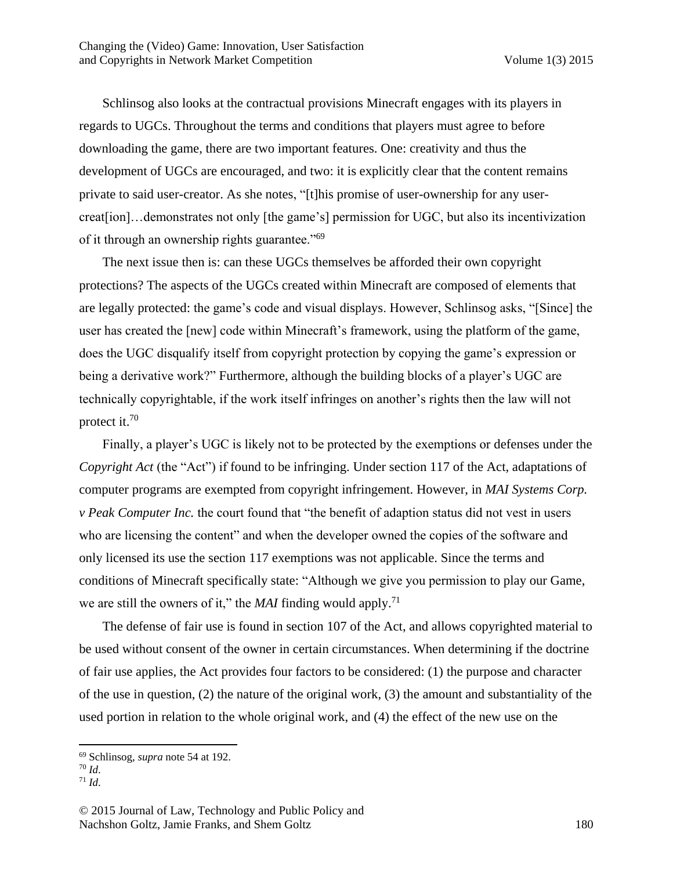Schlinsog also looks at the contractual provisions Minecraft engages with its players in regards to UGCs. Throughout the terms and conditions that players must agree to before downloading the game, there are two important features. One: creativity and thus the development of UGCs are encouraged, and two: it is explicitly clear that the content remains private to said user-creator. As she notes, "[t]his promise of user-ownership for any usercreat[ion]…demonstrates not only [the game's] permission for UGC, but also its incentivization of it through an ownership rights guarantee."<sup>69</sup>

The next issue then is: can these UGCs themselves be afforded their own copyright protections? The aspects of the UGCs created within Minecraft are composed of elements that are legally protected: the game's code and visual displays. However, Schlinsog asks, "[Since] the user has created the [new] code within Minecraft's framework, using the platform of the game, does the UGC disqualify itself from copyright protection by copying the game's expression or being a derivative work?" Furthermore, although the building blocks of a player's UGC are technically copyrightable, if the work itself infringes on another's rights then the law will not protect it.<sup>70</sup>

Finally, a player's UGC is likely not to be protected by the exemptions or defenses under the *Copyright Act* (the "Act") if found to be infringing. Under section 117 of the Act, adaptations of computer programs are exempted from copyright infringement. However, in *MAI Systems Corp. v Peak Computer Inc.* the court found that "the benefit of adaption status did not vest in users who are licensing the content" and when the developer owned the copies of the software and only licensed its use the section 117 exemptions was not applicable. Since the terms and conditions of Minecraft specifically state: "Although we give you permission to play our Game, we are still the owners of it," the *MAI* finding would apply.<sup>71</sup>

The defense of fair use is found in section 107 of the Act, and allows copyrighted material to be used without consent of the owner in certain circumstances. When determining if the doctrine of fair use applies, the Act provides four factors to be considered: (1) the purpose and character of the use in question, (2) the nature of the original work, (3) the amount and substantiality of the used portion in relation to the whole original work, and (4) the effect of the new use on the

<sup>69</sup> Schlinsog, *supra* note 54 at 192.

<sup>70</sup> *Id*. <sup>71</sup> *Id*.

<sup>© 2015</sup> Journal of Law, Technology and Public Policy and Nachshon Goltz, Jamie Franks, and Shem Goltz 180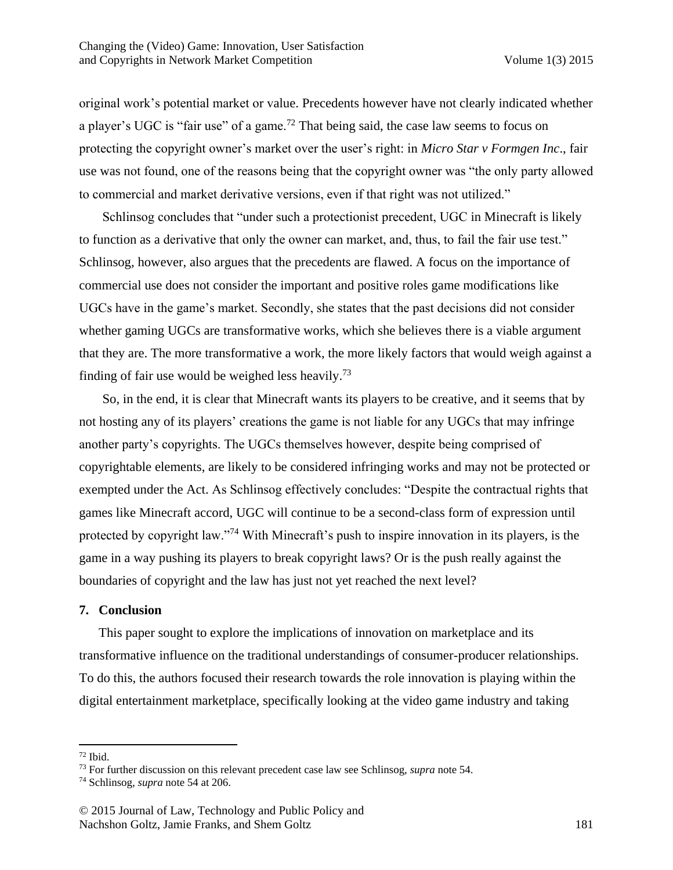original work's potential market or value. Precedents however have not clearly indicated whether a player's UGC is "fair use" of a game.<sup>72</sup> That being said, the case law seems to focus on protecting the copyright owner's market over the user's right: in *Micro Star v Formgen Inc*., fair use was not found, one of the reasons being that the copyright owner was "the only party allowed to commercial and market derivative versions, even if that right was not utilized."

Schlinsog concludes that "under such a protectionist precedent, UGC in Minecraft is likely to function as a derivative that only the owner can market, and, thus, to fail the fair use test." Schlinsog, however, also argues that the precedents are flawed. A focus on the importance of commercial use does not consider the important and positive roles game modifications like UGCs have in the game's market. Secondly, she states that the past decisions did not consider whether gaming UGCs are transformative works, which she believes there is a viable argument that they are. The more transformative a work, the more likely factors that would weigh against a finding of fair use would be weighed less heavily.<sup>73</sup>

So, in the end, it is clear that Minecraft wants its players to be creative, and it seems that by not hosting any of its players' creations the game is not liable for any UGCs that may infringe another party's copyrights. The UGCs themselves however, despite being comprised of copyrightable elements, are likely to be considered infringing works and may not be protected or exempted under the Act. As Schlinsog effectively concludes: "Despite the contractual rights that games like Minecraft accord, UGC will continue to be a second-class form of expression until protected by copyright law."<sup>74</sup> With Minecraft's push to inspire innovation in its players, is the game in a way pushing its players to break copyright laws? Or is the push really against the boundaries of copyright and the law has just not yet reached the next level?

#### **7. Conclusion**

This paper sought to explore the implications of innovation on marketplace and its transformative influence on the traditional understandings of consumer-producer relationships. To do this, the authors focused their research towards the role innovation is playing within the digital entertainment marketplace, specifically looking at the video game industry and taking

 $\overline{\phantom{a}}$  $72$  Ibid.

<sup>73</sup> For further discussion on this relevant precedent case law see Schlinsog, *supra* note 54.

<sup>74</sup> Schlinsog, *supra* note 54 at 206.

<sup>© 2015</sup> Journal of Law, Technology and Public Policy and Nachshon Goltz, Jamie Franks, and Shem Goltz 181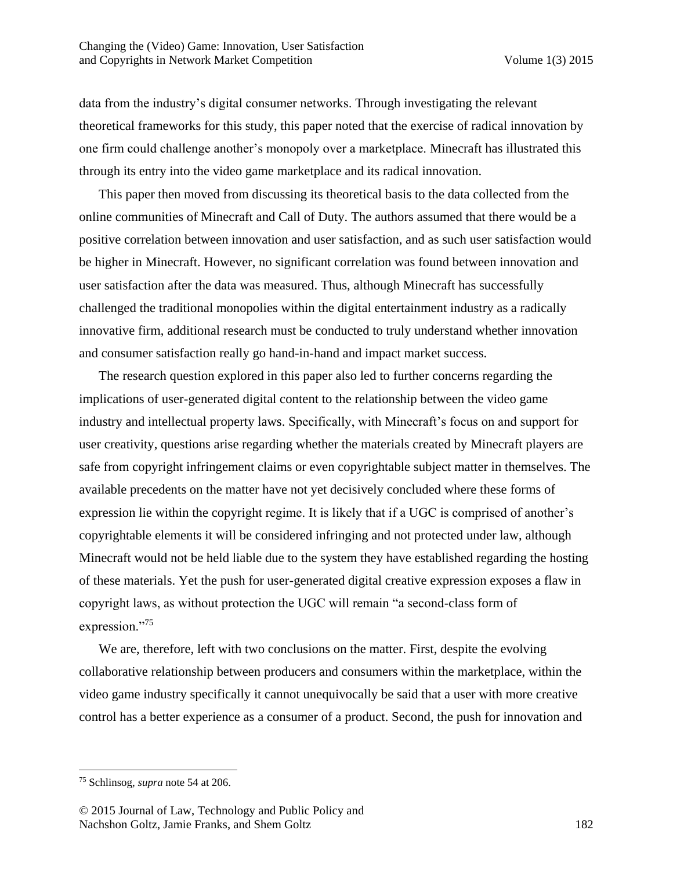data from the industry's digital consumer networks. Through investigating the relevant theoretical frameworks for this study, this paper noted that the exercise of radical innovation by one firm could challenge another's monopoly over a marketplace. Minecraft has illustrated this through its entry into the video game marketplace and its radical innovation.

This paper then moved from discussing its theoretical basis to the data collected from the online communities of Minecraft and Call of Duty. The authors assumed that there would be a positive correlation between innovation and user satisfaction, and as such user satisfaction would be higher in Minecraft. However, no significant correlation was found between innovation and user satisfaction after the data was measured. Thus, although Minecraft has successfully challenged the traditional monopolies within the digital entertainment industry as a radically innovative firm, additional research must be conducted to truly understand whether innovation and consumer satisfaction really go hand-in-hand and impact market success.

The research question explored in this paper also led to further concerns regarding the implications of user-generated digital content to the relationship between the video game industry and intellectual property laws. Specifically, with Minecraft's focus on and support for user creativity, questions arise regarding whether the materials created by Minecraft players are safe from copyright infringement claims or even copyrightable subject matter in themselves. The available precedents on the matter have not yet decisively concluded where these forms of expression lie within the copyright regime. It is likely that if a UGC is comprised of another's copyrightable elements it will be considered infringing and not protected under law, although Minecraft would not be held liable due to the system they have established regarding the hosting of these materials. Yet the push for user-generated digital creative expression exposes a flaw in copyright laws, as without protection the UGC will remain "a second-class form of expression."<sup>75</sup>

We are, therefore, left with two conclusions on the matter. First, despite the evolving collaborative relationship between producers and consumers within the marketplace, within the video game industry specifically it cannot unequivocally be said that a user with more creative control has a better experience as a consumer of a product. Second, the push for innovation and

 $\overline{a}$ 

<sup>75</sup> Schlinsog, *supra* note 54 at 206.

<sup>© 2015</sup> Journal of Law, Technology and Public Policy and Nachshon Goltz, Jamie Franks, and Shem Goltz 182